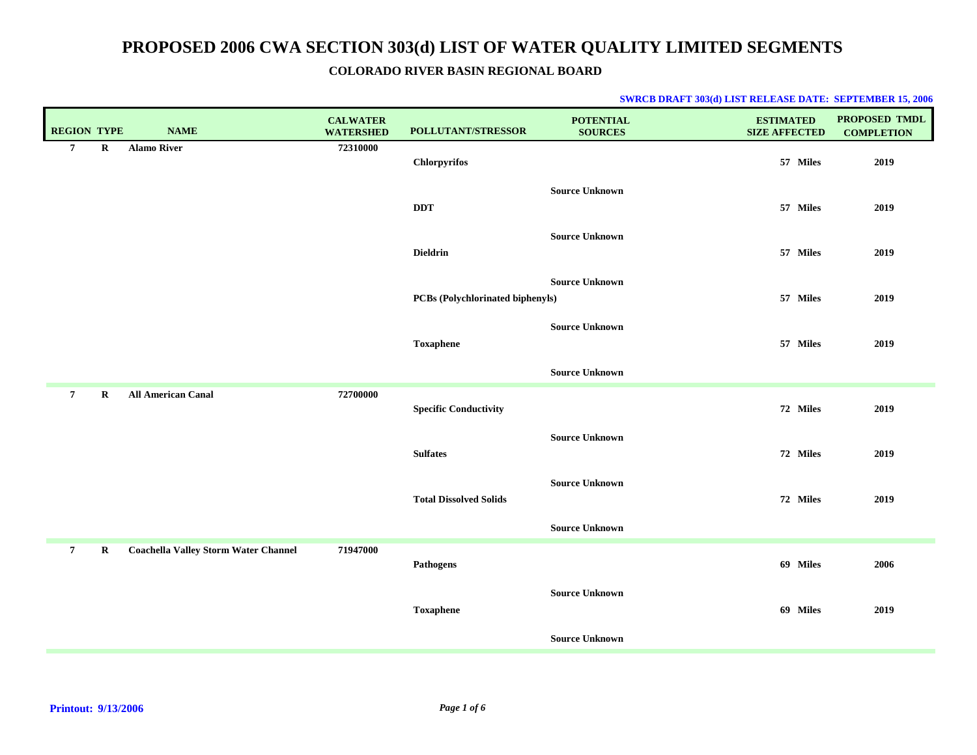### **COLORADO RIVER BASIN REGIONAL BOARD**

| <b>REGION TYPE</b> |             | <b>NAME</b>                                 | <b>CALWATER</b><br><b>WATERSHED</b> | POLLUTANT/STRESSOR               | <b>POTENTIAL</b><br><b>SOURCES</b> | <b>ESTIMATED</b><br><b>SIZE AFFECTED</b> | PROPOSED TMDL<br><b>COMPLETION</b> |
|--------------------|-------------|---------------------------------------------|-------------------------------------|----------------------------------|------------------------------------|------------------------------------------|------------------------------------|
| $7\phantom{.0}$    | $\mathbf R$ | <b>Alamo River</b>                          | 72310000                            | Chlorpyrifos                     |                                    | 57 Miles                                 | 2019                               |
|                    |             |                                             |                                     | <b>DDT</b>                       | <b>Source Unknown</b>              | 57 Miles                                 | 2019                               |
|                    |             |                                             |                                     | <b>Dieldrin</b>                  | <b>Source Unknown</b>              | 57 Miles                                 | 2019                               |
|                    |             |                                             |                                     | PCBs (Polychlorinated biphenyls) | <b>Source Unknown</b>              | 57 Miles                                 | 2019                               |
|                    |             |                                             |                                     | <b>Toxaphene</b>                 | <b>Source Unknown</b>              | 57 Miles                                 | 2019                               |
|                    |             |                                             |                                     |                                  | <b>Source Unknown</b>              |                                          |                                    |
| $\overline{7}$     | $\mathbf R$ | <b>All American Canal</b>                   | 72700000                            | <b>Specific Conductivity</b>     |                                    | 72 Miles                                 | 2019                               |
|                    |             |                                             |                                     | <b>Sulfates</b>                  | <b>Source Unknown</b>              | 72 Miles                                 | 2019                               |
|                    |             |                                             |                                     | <b>Total Dissolved Solids</b>    | <b>Source Unknown</b>              | 72 Miles                                 | 2019                               |
|                    |             |                                             |                                     |                                  | <b>Source Unknown</b>              |                                          |                                    |
| $\overline{7}$     | $\mathbf R$ | <b>Coachella Valley Storm Water Channel</b> | 71947000                            | Pathogens                        |                                    | 69 Miles                                 | 2006                               |
|                    |             |                                             |                                     | <b>Toxaphene</b>                 | <b>Source Unknown</b>              | 69 Miles                                 | 2019                               |
|                    |             |                                             |                                     |                                  | <b>Source Unknown</b>              |                                          |                                    |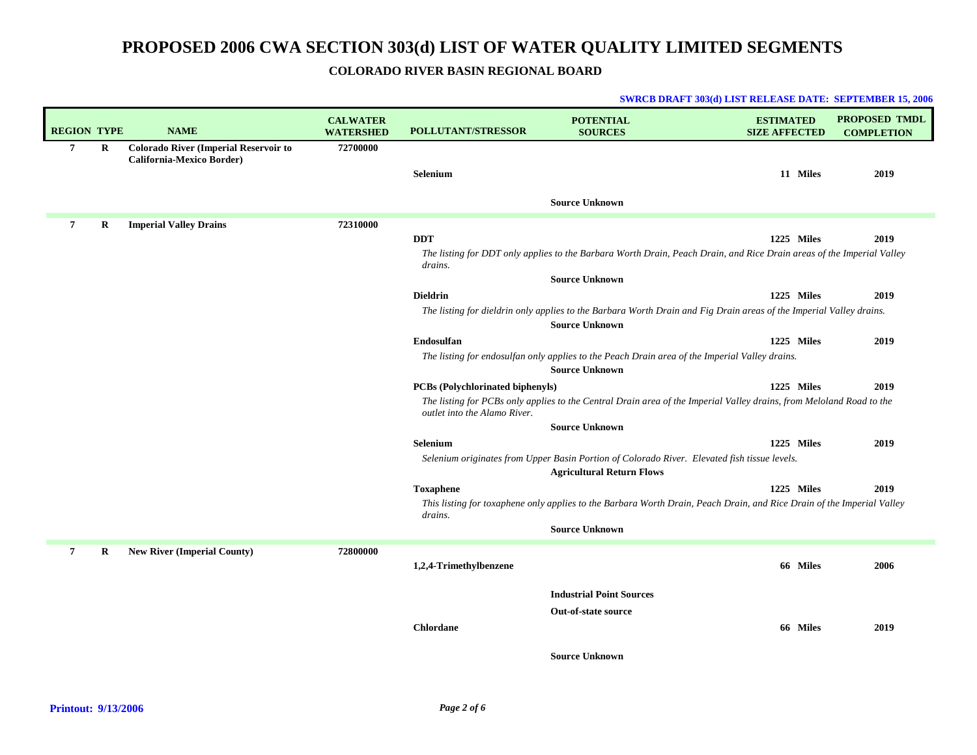## **COLORADO RIVER BASIN REGIONAL BOARD**

|                    |   |                                              |                                     |                                  | SWRCB DRAFT 303(d) LIST RELEASE DATE: SEPTEMBER 15, 2006                                                                                     |                                          |                                           |
|--------------------|---|----------------------------------------------|-------------------------------------|----------------------------------|----------------------------------------------------------------------------------------------------------------------------------------------|------------------------------------------|-------------------------------------------|
| <b>REGION TYPE</b> |   | <b>NAME</b>                                  | <b>CALWATER</b><br><b>WATERSHED</b> | <b>POLLUTANT/STRESSOR</b>        | <b>POTENTIAL</b><br><b>SOURCES</b>                                                                                                           | <b>ESTIMATED</b><br><b>SIZE AFFECTED</b> | <b>PROPOSED TMDL</b><br><b>COMPLETION</b> |
| $\overline{7}$     | R | <b>Colorado River (Imperial Reservoir to</b> | 72700000                            |                                  |                                                                                                                                              |                                          |                                           |
|                    |   | California-Mexico Border)                    |                                     | Selenium                         |                                                                                                                                              | 11 Miles                                 | 2019                                      |
|                    |   |                                              |                                     |                                  |                                                                                                                                              |                                          |                                           |
|                    |   |                                              |                                     |                                  | <b>Source Unknown</b>                                                                                                                        |                                          |                                           |
| $\overline{7}$     | R | <b>Imperial Valley Drains</b>                | 72310000                            |                                  |                                                                                                                                              |                                          |                                           |
|                    |   |                                              |                                     | <b>DDT</b>                       |                                                                                                                                              | 1225 Miles                               | 2019                                      |
|                    |   |                                              |                                     | drains.                          | The listing for DDT only applies to the Barbara Worth Drain, Peach Drain, and Rice Drain areas of the Imperial Valley                        |                                          |                                           |
|                    |   |                                              |                                     |                                  | <b>Source Unknown</b>                                                                                                                        |                                          |                                           |
|                    |   |                                              |                                     | <b>Dieldrin</b>                  |                                                                                                                                              | 1225 Miles                               | 2019                                      |
|                    |   |                                              |                                     |                                  | The listing for dieldrin only applies to the Barbara Worth Drain and Fig Drain areas of the Imperial Valley drains.<br><b>Source Unknown</b> |                                          |                                           |
|                    |   |                                              |                                     | Endosulfan                       |                                                                                                                                              | 1225 Miles                               | 2019                                      |
|                    |   |                                              |                                     |                                  | The listing for endosulfan only applies to the Peach Drain area of the Imperial Valley drains.<br><b>Source Unknown</b>                      |                                          |                                           |
|                    |   |                                              |                                     | PCBs (Polychlorinated biphenyls) |                                                                                                                                              | 1225 Miles                               | 2019                                      |
|                    |   |                                              |                                     | outlet into the Alamo River.     | The listing for PCBs only applies to the Central Drain area of the Imperial Valley drains, from Meloland Road to the                         |                                          |                                           |
|                    |   |                                              |                                     |                                  | <b>Source Unknown</b>                                                                                                                        |                                          |                                           |
|                    |   |                                              |                                     | Selenium                         |                                                                                                                                              | 1225 Miles                               | 2019                                      |
|                    |   |                                              |                                     |                                  | Selenium originates from Upper Basin Portion of Colorado River. Elevated fish tissue levels.                                                 |                                          |                                           |
|                    |   |                                              |                                     |                                  | <b>Agricultural Return Flows</b>                                                                                                             |                                          |                                           |
|                    |   |                                              |                                     | <b>Toxaphene</b>                 |                                                                                                                                              | 1225 Miles                               | 2019                                      |
|                    |   |                                              |                                     | drains.                          | This listing for toxaphene only applies to the Barbara Worth Drain, Peach Drain, and Rice Drain of the Imperial Valley                       |                                          |                                           |
|                    |   |                                              |                                     |                                  | <b>Source Unknown</b>                                                                                                                        |                                          |                                           |
| 7                  | R | <b>New River (Imperial County)</b>           | 72800000                            |                                  |                                                                                                                                              |                                          |                                           |
|                    |   |                                              |                                     | 1,2,4-Trimethylbenzene           |                                                                                                                                              | 66 Miles                                 | 2006                                      |
|                    |   |                                              |                                     |                                  | <b>Industrial Point Sources</b>                                                                                                              |                                          |                                           |
|                    |   |                                              |                                     |                                  | <b>Out-of-state source</b>                                                                                                                   |                                          |                                           |
|                    |   |                                              |                                     | <b>Chlordane</b>                 |                                                                                                                                              | 66 Miles                                 | 2019                                      |
|                    |   |                                              |                                     |                                  | <b>Source Unknown</b>                                                                                                                        |                                          |                                           |

### **Printout: 9/13/2006**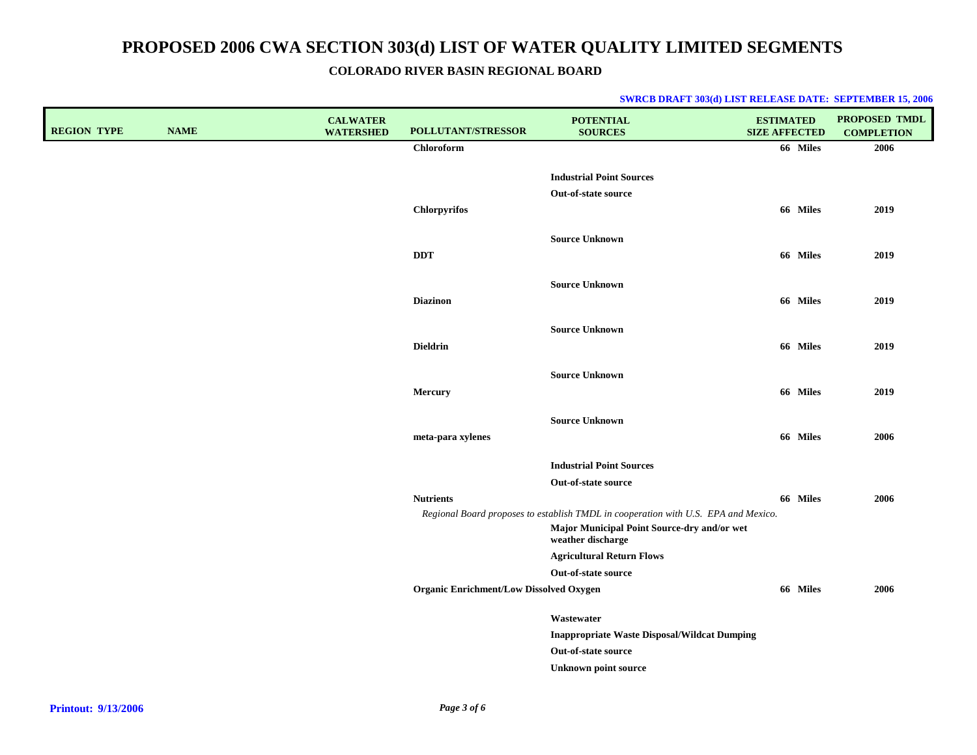### **COLORADO RIVER BASIN REGIONAL BOARD**

| <b>REGION TYPE</b> | <b>NAME</b> | <b>CALWATER</b><br><b>WATERSHED</b> | <b>POLLUTANT/STRESSOR</b>                      | <b>POTENTIAL</b><br><b>SOURCES</b>                                                 | <b>ESTIMATED</b><br><b>SIZE AFFECTED</b> | PROPOSED TMDL<br><b>COMPLETION</b> |
|--------------------|-------------|-------------------------------------|------------------------------------------------|------------------------------------------------------------------------------------|------------------------------------------|------------------------------------|
|                    |             |                                     | <b>Chloroform</b>                              |                                                                                    | 66 Miles                                 | 2006                               |
|                    |             |                                     |                                                |                                                                                    |                                          |                                    |
|                    |             |                                     |                                                | <b>Industrial Point Sources</b><br>Out-of-state source                             |                                          |                                    |
|                    |             |                                     | <b>Chlorpyrifos</b>                            |                                                                                    | 66 Miles                                 | 2019                               |
|                    |             |                                     |                                                |                                                                                    |                                          |                                    |
|                    |             |                                     |                                                | <b>Source Unknown</b>                                                              |                                          |                                    |
|                    |             |                                     | <b>DDT</b>                                     |                                                                                    | 66 Miles                                 | 2019                               |
|                    |             |                                     |                                                | <b>Source Unknown</b>                                                              |                                          |                                    |
|                    |             |                                     | <b>Diazinon</b>                                |                                                                                    | 66 Miles                                 | 2019                               |
|                    |             |                                     |                                                |                                                                                    |                                          |                                    |
|                    |             |                                     |                                                | <b>Source Unknown</b>                                                              |                                          |                                    |
|                    |             |                                     | <b>Dieldrin</b>                                |                                                                                    | 66 Miles                                 | 2019                               |
|                    |             |                                     |                                                | <b>Source Unknown</b>                                                              |                                          |                                    |
|                    |             |                                     | Mercury                                        |                                                                                    | 66 Miles                                 | 2019                               |
|                    |             |                                     |                                                |                                                                                    |                                          |                                    |
|                    |             |                                     |                                                | <b>Source Unknown</b>                                                              |                                          |                                    |
|                    |             |                                     | meta-para xylenes                              |                                                                                    | 66 Miles                                 | 2006                               |
|                    |             |                                     |                                                | <b>Industrial Point Sources</b>                                                    |                                          |                                    |
|                    |             |                                     |                                                | Out-of-state source                                                                |                                          |                                    |
|                    |             |                                     | <b>Nutrients</b>                               |                                                                                    | 66 Miles                                 | 2006                               |
|                    |             |                                     |                                                | Regional Board proposes to establish TMDL in cooperation with U.S. EPA and Mexico. |                                          |                                    |
|                    |             |                                     |                                                | Major Municipal Point Source-dry and/or wet<br>weather discharge                   |                                          |                                    |
|                    |             |                                     |                                                | <b>Agricultural Return Flows</b>                                                   |                                          |                                    |
|                    |             |                                     |                                                | Out-of-state source                                                                |                                          |                                    |
|                    |             |                                     | <b>Organic Enrichment/Low Dissolved Oxygen</b> |                                                                                    | 66 Miles                                 | 2006                               |
|                    |             |                                     |                                                | Wastewater                                                                         |                                          |                                    |
|                    |             |                                     |                                                | <b>Inappropriate Waste Disposal/Wildcat Dumping</b>                                |                                          |                                    |
|                    |             |                                     |                                                | Out-of-state source                                                                |                                          |                                    |
|                    |             |                                     |                                                | <b>Unknown point source</b>                                                        |                                          |                                    |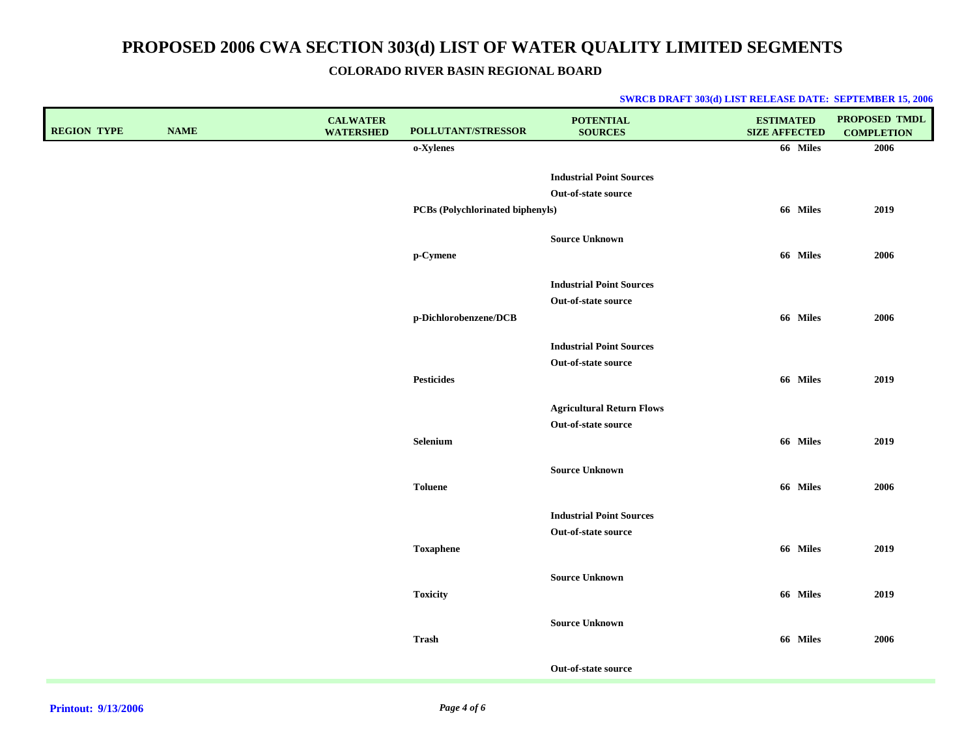**COLORADO RIVER BASIN REGIONAL BOARD**

| <b>REGION TYPE</b> | <b>NAME</b> | <b>CALWATER</b><br><b>WATERSHED</b> | POLLUTANT/STRESSOR               | <b>POTENTIAL</b><br><b>SOURCES</b>                     | <b>ESTIMATED</b><br><b>SIZE AFFECTED</b> | PROPOSED TMDL<br><b>COMPLETION</b> |
|--------------------|-------------|-------------------------------------|----------------------------------|--------------------------------------------------------|------------------------------------------|------------------------------------|
|                    |             |                                     | o-Xylenes                        |                                                        | 66 Miles                                 | 2006                               |
|                    |             |                                     |                                  | <b>Industrial Point Sources</b>                        |                                          |                                    |
|                    |             |                                     |                                  | Out-of-state source                                    |                                          |                                    |
|                    |             |                                     | PCBs (Polychlorinated biphenyls) |                                                        | 66 Miles                                 | 2019                               |
|                    |             |                                     |                                  | <b>Source Unknown</b>                                  |                                          |                                    |
|                    |             |                                     | p-Cymene                         |                                                        | 66 Miles                                 | 2006                               |
|                    |             |                                     |                                  |                                                        |                                          |                                    |
|                    |             |                                     |                                  | <b>Industrial Point Sources</b><br>Out-of-state source |                                          |                                    |
|                    |             |                                     | p-Dichlorobenzene/DCB            |                                                        | 66 Miles                                 | 2006                               |
|                    |             |                                     |                                  |                                                        |                                          |                                    |
|                    |             |                                     |                                  | <b>Industrial Point Sources</b>                        |                                          |                                    |
|                    |             |                                     |                                  | Out-of-state source                                    |                                          |                                    |
|                    |             |                                     | <b>Pesticides</b>                |                                                        | 66 Miles                                 | 2019                               |
|                    |             |                                     |                                  | <b>Agricultural Return Flows</b>                       |                                          |                                    |
|                    |             |                                     |                                  | Out-of-state source                                    |                                          |                                    |
|                    |             |                                     | Selenium                         |                                                        | 66 Miles                                 | 2019                               |
|                    |             |                                     |                                  | <b>Source Unknown</b>                                  |                                          |                                    |
|                    |             |                                     | <b>Toluene</b>                   |                                                        | 66 Miles                                 | 2006                               |
|                    |             |                                     |                                  | <b>Industrial Point Sources</b>                        |                                          |                                    |
|                    |             |                                     |                                  | Out-of-state source                                    |                                          |                                    |
|                    |             |                                     | <b>Toxaphene</b>                 |                                                        | 66 Miles                                 | 2019                               |
|                    |             |                                     |                                  |                                                        |                                          |                                    |
|                    |             |                                     | <b>Toxicity</b>                  | <b>Source Unknown</b>                                  | 66 Miles                                 | 2019                               |
|                    |             |                                     |                                  |                                                        |                                          |                                    |
|                    |             |                                     |                                  | <b>Source Unknown</b>                                  |                                          |                                    |
|                    |             |                                     | Trash                            |                                                        | 66 Miles                                 | 2006                               |
|                    |             |                                     |                                  | Out-of-state source                                    |                                          |                                    |
|                    |             |                                     |                                  |                                                        |                                          |                                    |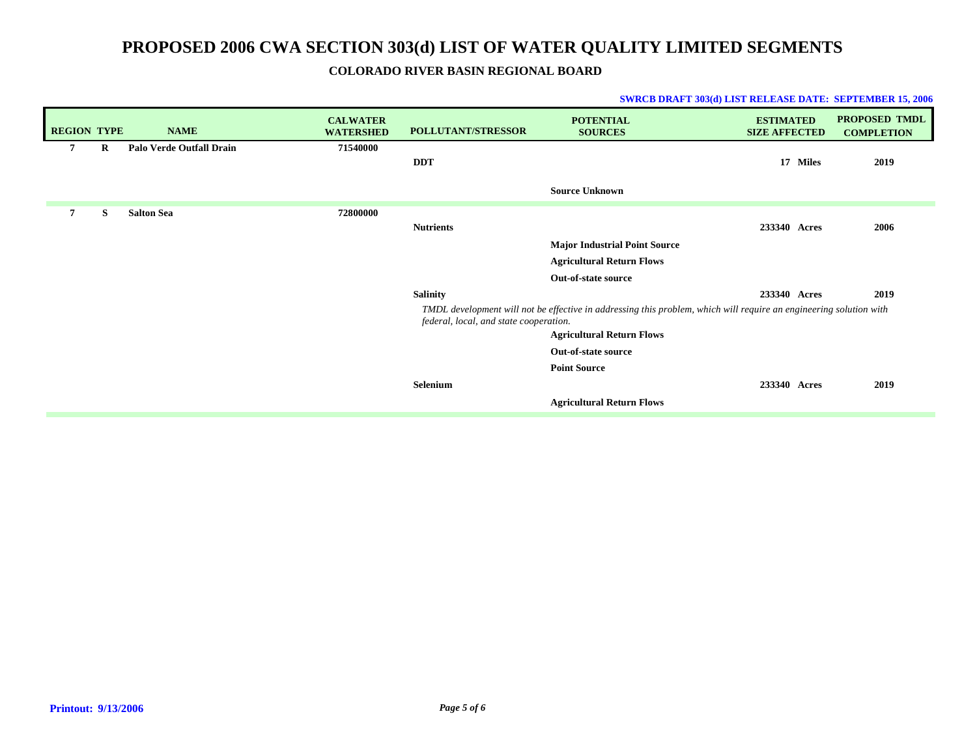### **COLORADO RIVER BASIN REGIONAL BOARD**

| <b>REGION TYPE</b> |         | <b>NAME</b>              | <b>CALWATER</b><br><b>WATERSHED</b> | <b>POLLUTANT/STRESSOR</b>              | <b>POTENTIAL</b><br><b>SOURCES</b>                                                                                 | <b>ESTIMATED</b><br><b>SIZE AFFECTED</b> | <b>PROPOSED TMDL</b><br><b>COMPLETION</b> |
|--------------------|---------|--------------------------|-------------------------------------|----------------------------------------|--------------------------------------------------------------------------------------------------------------------|------------------------------------------|-------------------------------------------|
| 7                  | $\bf R$ | Palo Verde Outfall Drain | 71540000                            |                                        |                                                                                                                    |                                          |                                           |
|                    |         |                          |                                     | <b>DDT</b>                             |                                                                                                                    | 17<br><b>Miles</b>                       | 2019                                      |
|                    |         |                          |                                     |                                        | <b>Source Unknown</b>                                                                                              |                                          |                                           |
| 7                  | S       | <b>Salton Sea</b>        | 72800000                            |                                        |                                                                                                                    |                                          |                                           |
|                    |         |                          |                                     | <b>Nutrients</b>                       |                                                                                                                    | 233340 Acres                             | 2006                                      |
|                    |         |                          |                                     |                                        | <b>Major Industrial Point Source</b>                                                                               |                                          |                                           |
|                    |         |                          |                                     |                                        | <b>Agricultural Return Flows</b>                                                                                   |                                          |                                           |
|                    |         |                          |                                     |                                        | Out-of-state source                                                                                                |                                          |                                           |
|                    |         |                          |                                     | <b>Salinity</b>                        |                                                                                                                    | 233340 Acres                             | 2019                                      |
|                    |         |                          |                                     | federal, local, and state cooperation. | TMDL development will not be effective in addressing this problem, which will require an engineering solution with |                                          |                                           |
|                    |         |                          |                                     |                                        | <b>Agricultural Return Flows</b>                                                                                   |                                          |                                           |
|                    |         |                          |                                     |                                        | Out-of-state source                                                                                                |                                          |                                           |
|                    |         |                          |                                     |                                        | <b>Point Source</b>                                                                                                |                                          |                                           |
|                    |         |                          |                                     | Selenium                               |                                                                                                                    | 233340 Acres                             | 2019                                      |
|                    |         |                          |                                     |                                        | <b>Agricultural Return Flows</b>                                                                                   |                                          |                                           |